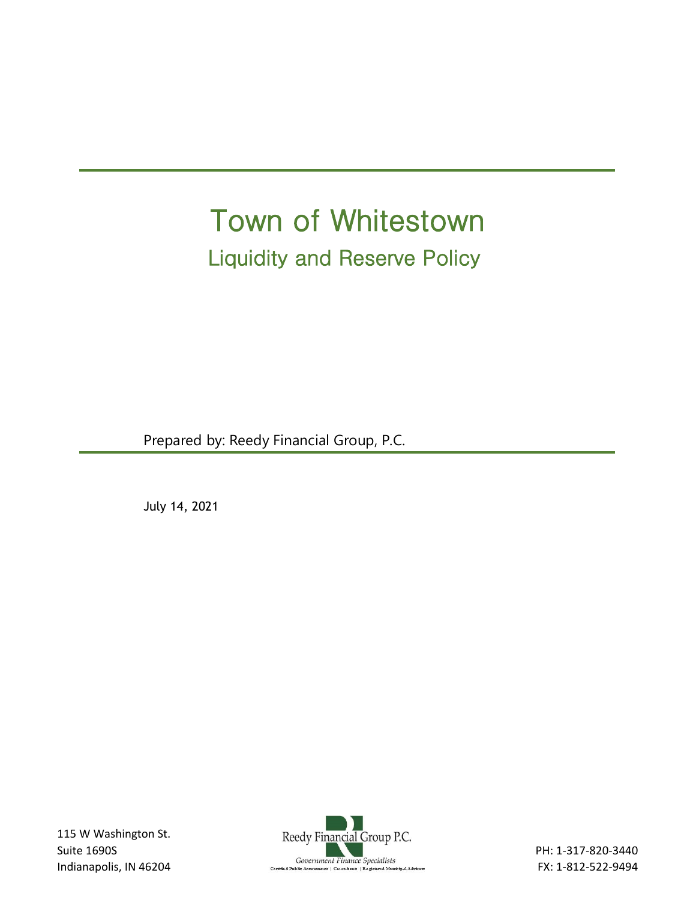# Town of Whitestown Liquidity and Reserve Policy

Prepared by: Reedy Financial Group, P.C.

July 14, 2021

115 W Washington St. Suite 1690S Indianapolis, IN 46204



PH: 1-317-820-3440 FX: 1-812-522-9494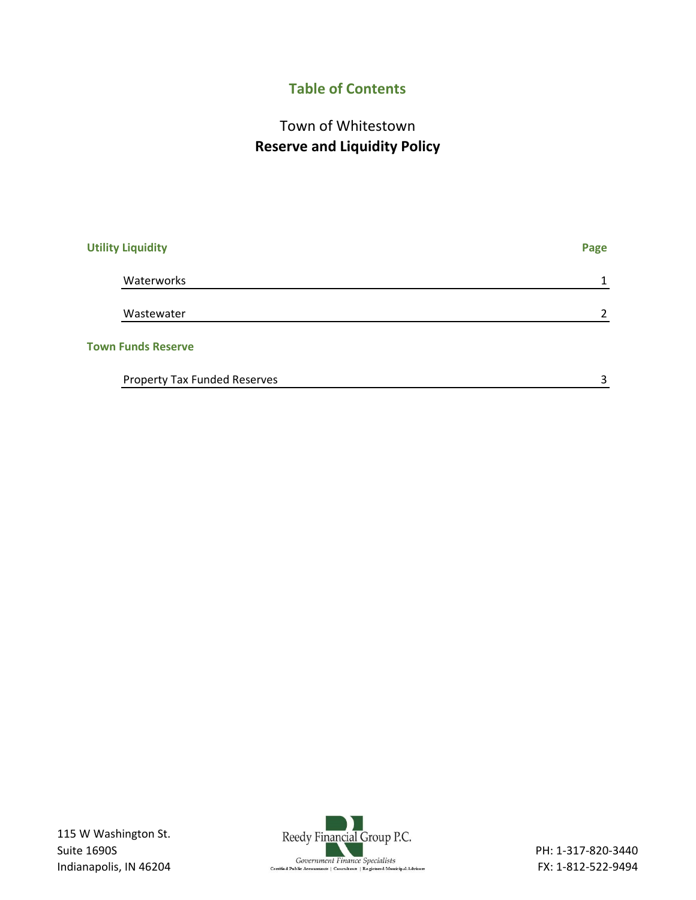## **Table of Contents**

## Town of Whitestown **Reserve and Liquidity Policy**

| <b>Utility Liquidity</b>            | Page          |
|-------------------------------------|---------------|
| Waterworks                          | 1             |
| Wastewater                          | $\mathcal{P}$ |
| <b>Town Funds Reserve</b>           |               |
| <b>Property Tax Funded Reserves</b> | 3             |



PH: 1-317-820-3440 FX: 1-812-522-9494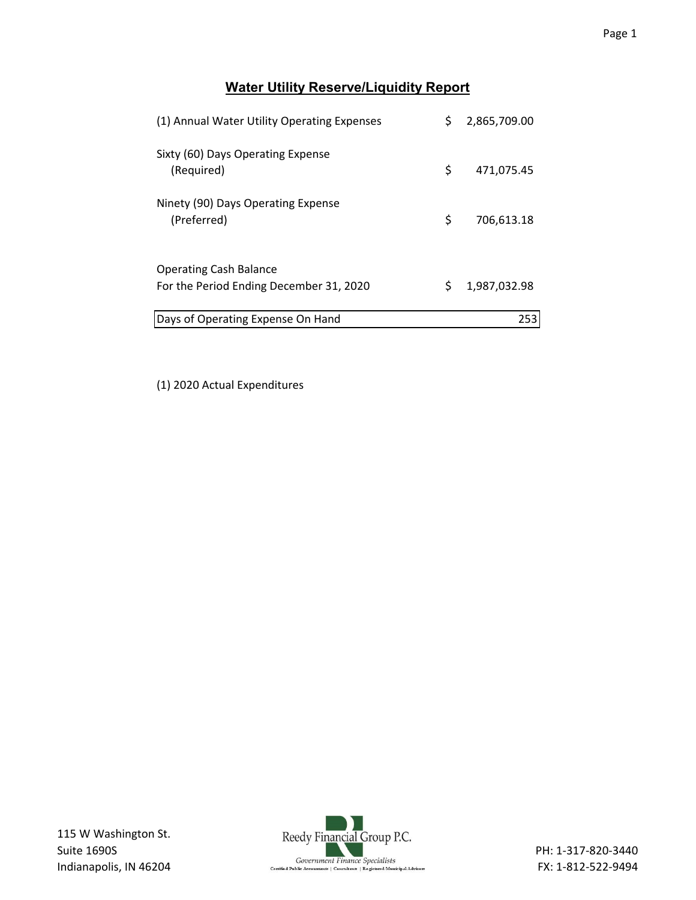### **Water Utility Reserve/Liquidity Report**

| (1) Annual Water Utility Operating Expenses                              | \$  | 2,865,709.00 |
|--------------------------------------------------------------------------|-----|--------------|
| Sixty (60) Days Operating Expense<br>(Required)                          | \$  | 471,075.45   |
| Ninety (90) Days Operating Expense<br>(Preferred)                        | \$  | 706,613.18   |
| <b>Operating Cash Balance</b><br>For the Period Ending December 31, 2020 | \$. | 1,987,032.98 |
| Days of Operating Expense On Hand                                        |     | 253          |

(1) 2020 Actual Expenditures

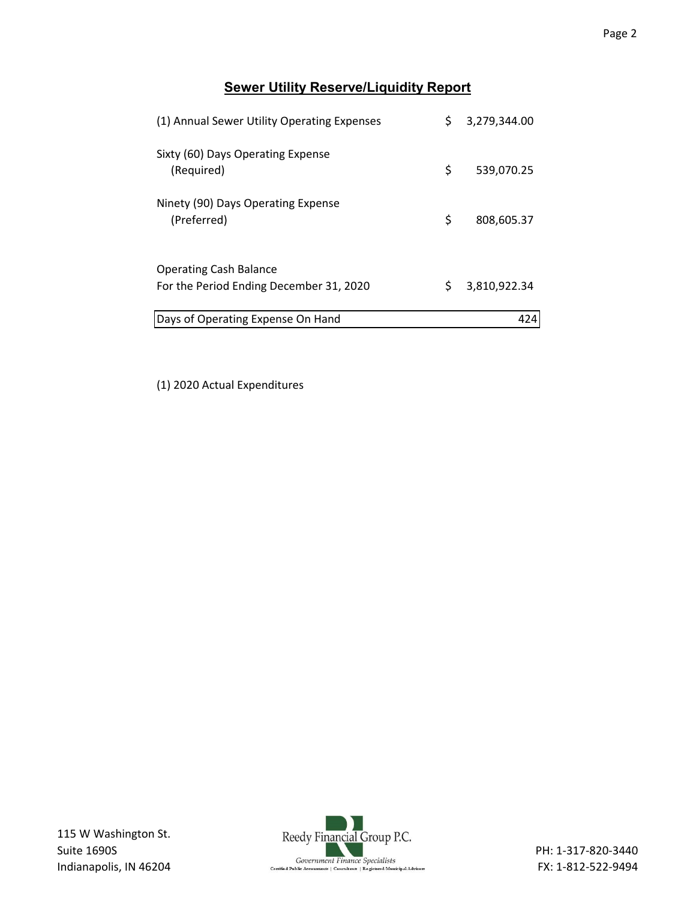### **Sewer Utility Reserve/Liquidity Report**

| (1) Annual Sewer Utility Operating Expenses                              | \$  | 3,279,344.00 |
|--------------------------------------------------------------------------|-----|--------------|
| Sixty (60) Days Operating Expense<br>(Required)                          | \$  | 539,070.25   |
| Ninety (90) Days Operating Expense<br>(Preferred)                        | \$  | 808,605.37   |
| <b>Operating Cash Balance</b><br>For the Period Ending December 31, 2020 | \$. | 3,810,922.34 |
| Days of Operating Expense On Hand                                        |     | 424          |

(1) 2020 Actual Expenditures